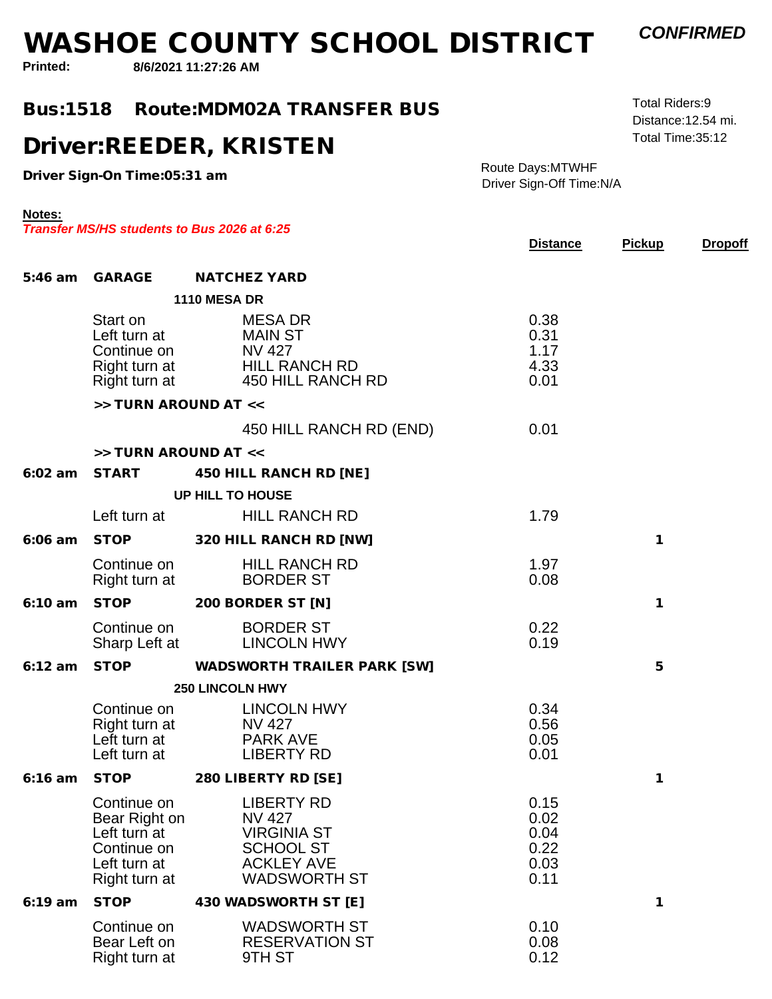**8/6/2021 11:27:26 AMPrinted:**

**Notes:**

#### **Bus:1518Route:MDM02A TRANSFER BUS**

#### **Driver:REEDER, KRISTEN**

**Driver Sign-On Time:05:31 am**

Right turn at

Route Days:MTWHFDriver Sign-Off Time:N/A

|           |                                                                                              | Transfer MS/HS students to Bus 2026 at 6:25                                                                              | <b>Distance</b>                              | <b>Pickup</b> | <b>Dropoff</b> |
|-----------|----------------------------------------------------------------------------------------------|--------------------------------------------------------------------------------------------------------------------------|----------------------------------------------|---------------|----------------|
| 5:46 am   | GARAGE                                                                                       | <b>NATCHEZ YARD</b>                                                                                                      |                                              |               |                |
|           |                                                                                              | <b>1110 MESA DR</b>                                                                                                      |                                              |               |                |
|           | Start on<br>Left turn at<br>Continue on                                                      | <b>MESA DR</b><br><b>MAIN ST</b><br><b>NV 427</b><br>Right turn at HILL RANCH RD<br>Right turn at 450 HILL RANCH RD      | 0.38<br>0.31<br>1.17<br>4.33<br>0.01         |               |                |
|           | >> TURN AROUND AT <<                                                                         |                                                                                                                          |                                              |               |                |
|           |                                                                                              | 450 HILL RANCH RD (END)                                                                                                  | 0.01                                         |               |                |
|           | >> TURN AROUND AT <<                                                                         |                                                                                                                          |                                              |               |                |
| $6:02$ am | <b>START</b>                                                                                 | 450 HILL RANCH RD [NE]                                                                                                   |                                              |               |                |
|           |                                                                                              | <b>UP HILL TO HOUSE</b>                                                                                                  |                                              |               |                |
|           | Left turn at                                                                                 | <b>HILL RANCH RD</b>                                                                                                     | 1.79                                         |               |                |
| $6:06$ am | <b>STOP</b>                                                                                  | 320 HILL RANCH RD [NW]                                                                                                   |                                              | 1             |                |
|           | Continue on<br>Right turn at                                                                 | <b>HILL RANCH RD</b><br><b>BORDER ST</b>                                                                                 | 1.97<br>0.08                                 |               |                |
| $6:10$ am | <b>STOP</b>                                                                                  | 200 BORDER ST [N]                                                                                                        |                                              | 1             |                |
|           | Continue on<br>Sharp Left at                                                                 | <b>BORDER ST</b><br><b>LINCOLN HWY</b>                                                                                   | 0.22<br>0.19                                 |               |                |
| $6:12$ am | <b>STOP</b>                                                                                  | WADSWORTH TRAILER PARK [SW]                                                                                              |                                              | 5             |                |
|           |                                                                                              | <b>250 LINCOLN HWY</b>                                                                                                   |                                              |               |                |
|           | Continue on<br>Right turn at<br>Left turn at<br>Left turn at                                 | <b>LINCOLN HWY</b><br><b>NV 427</b><br><b>PARK AVE</b><br><b>LIBERTY RD</b>                                              | 0.34<br>0.56<br>0.05<br>0.01                 |               |                |
| $6:16$ am | <b>STOP</b>                                                                                  | 280 LIBERTY RD [SE]                                                                                                      |                                              | 1             |                |
|           | Continue on<br>Bear Right on<br>Left turn at<br>Continue on<br>Left turn at<br>Right turn at | <b>LIBERTY RD</b><br><b>NV 427</b><br><b>VIRGINIA ST</b><br><b>SCHOOL ST</b><br><b>ACKLEY AVE</b><br><b>WADSWORTH ST</b> | 0.15<br>0.02<br>0.04<br>0.22<br>0.03<br>0.11 |               |                |
| $6:19$ am | <b>STOP</b>                                                                                  | 430 WADSWORTH ST [E]                                                                                                     |                                              | 1             |                |
|           | Continue on<br>Bear Left on                                                                  | <b>WADSWORTH ST</b><br><b>RESERVATION ST</b>                                                                             | 0.10<br>0.08                                 |               |                |

RESERVATION ST 0.00<br>9TH ST 0.12



 Total Time:35:12 Distance:12.54 mi.Total Riders:9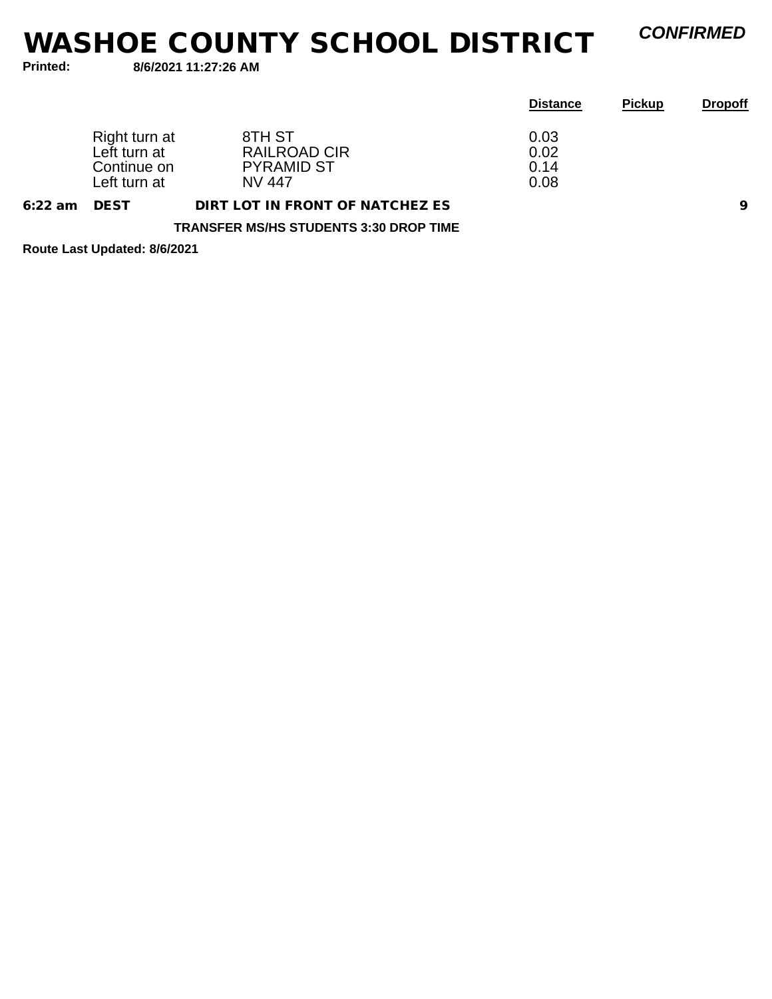*CONFIRMED*

**Printed:**

**8/6/2021 11:27:26 AM**

|           |                                                              |                                                                     | <b>Distance</b>              | <b>Pickup</b> | <b>Dropoff</b> |
|-----------|--------------------------------------------------------------|---------------------------------------------------------------------|------------------------------|---------------|----------------|
|           | Right turn at<br>Left turn at<br>Continue on<br>Left turn at | 8TH ST<br><b>RAILROAD CIR</b><br><b>PYRAMID ST</b><br><b>NV 447</b> | 0.03<br>0.02<br>0.14<br>0.08 |               |                |
| $6:22$ am | <b>DEST</b>                                                  | DIRT LOT IN FRONT OF NATCHEZ ES                                     |                              |               | 9              |
|           |                                                              | <b>TRANSFER MS/HS STUDENTS 3:30 DROP TIME</b>                       |                              |               |                |

**Route Last Updated: 8/6/2021**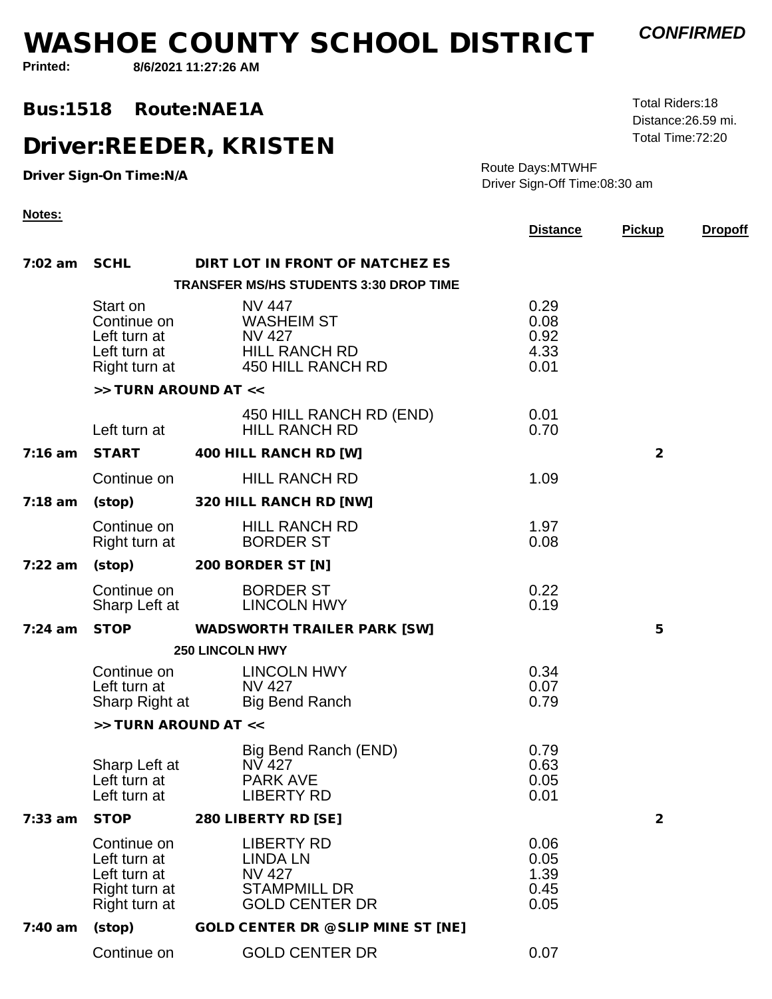**Printed:**

**Notes:**

**8/6/2021 11:27:26 AM**

**Bus:1518Route:NAE1A** 

#### **Driver:REEDER, KRISTEN**

**Driver Sign-On Time:N/A**

 Total Time:72:20 Distance:26.59 mi.Total Riders:18

*CONFIRMED*

Route Days:MTWHFDriver Sign-Off Time:08:30 am

|           |                                                                               |                                                                                                       | <b>Distance</b>                      | <b>Pickup</b>  | <b>Dropoff</b> |
|-----------|-------------------------------------------------------------------------------|-------------------------------------------------------------------------------------------------------|--------------------------------------|----------------|----------------|
|           | 7:02 am SCHL                                                                  | DIRT LOT IN FRONT OF NATCHEZ ES                                                                       |                                      |                |                |
|           |                                                                               | <b>TRANSFER MS/HS STUDENTS 3:30 DROP TIME</b>                                                         |                                      |                |                |
|           | Start on<br>Continue on<br>Left turn at<br>Left turn at<br>Right turn at      | <b>NV 447</b><br><b>WASHEIM ST</b><br><b>NV 427</b><br><b>HILL RANCH RD</b><br>450 HILL RANCH RD      | 0.29<br>0.08<br>0.92<br>4.33<br>0.01 |                |                |
|           | >> TURN AROUND AT <<                                                          |                                                                                                       |                                      |                |                |
|           | Left turn at                                                                  | 450 HILL RANCH RD (END)<br><b>HILL RANCH RD</b>                                                       | 0.01<br>0.70                         |                |                |
| $7:16$ am | <b>START</b>                                                                  | 400 HILL RANCH RD [W]                                                                                 |                                      | 2              |                |
|           | Continue on                                                                   | <b>HILL RANCH RD</b>                                                                                  | 1.09                                 |                |                |
| $7:18$ am | (stop)                                                                        | 320 HILL RANCH RD [NW]                                                                                |                                      |                |                |
|           | Continue on<br>Right turn at                                                  | <b>HILL RANCH RD</b><br><b>BORDER ST</b>                                                              | 1.97<br>0.08                         |                |                |
| $7:22$ am | $(\mathsf{stop})$                                                             | 200 BORDER ST [N]                                                                                     |                                      |                |                |
|           | Continue on<br>Sharp Left at                                                  | <b>BORDER ST</b><br><b>LINCOLN HWY</b>                                                                | 0.22<br>0.19                         |                |                |
| $7:24$ am |                                                                               | STOP WADSWORTH TRAILER PARK [SW]                                                                      |                                      | 5              |                |
|           |                                                                               | <b>250 LINCOLN HWY</b>                                                                                |                                      |                |                |
|           | Continue on<br>Left turn at                                                   | <b>LINCOLN HWY</b><br><b>NV 427</b><br>Sharp Right at Big Bend Ranch                                  | 0.34<br>0.07<br>0.79                 |                |                |
|           | >> TURN AROUND AT <<                                                          |                                                                                                       |                                      |                |                |
|           | Sharp Left at<br>Left turn at<br>Left turn at                                 | Big Bend Ranch (END)<br><b>NV 427</b><br><b>PARK AVE</b><br><b>LIBERTY RD</b>                         | 0.79<br>0.63<br>0.05<br>0.01         |                |                |
| $7:33$ am | <b>STOP</b>                                                                   | 280 LIBERTY RD [SE]                                                                                   |                                      | $\overline{2}$ |                |
|           | Continue on<br>Left turn at<br>Left turn at<br>Right turn at<br>Right turn at | <b>LIBERTY RD</b><br><b>LINDA LN</b><br><b>NV 427</b><br><b>STAMPMILL DR</b><br><b>GOLD CENTER DR</b> | 0.06<br>0.05<br>1.39<br>0.45<br>0.05 |                |                |
| $7:40$ am | (stop)                                                                        | GOLD CENTER DR @ SLIP MINE ST [NE]                                                                    |                                      |                |                |
|           | Continue on                                                                   | <b>GOLD CENTER DR</b>                                                                                 | 0.07                                 |                |                |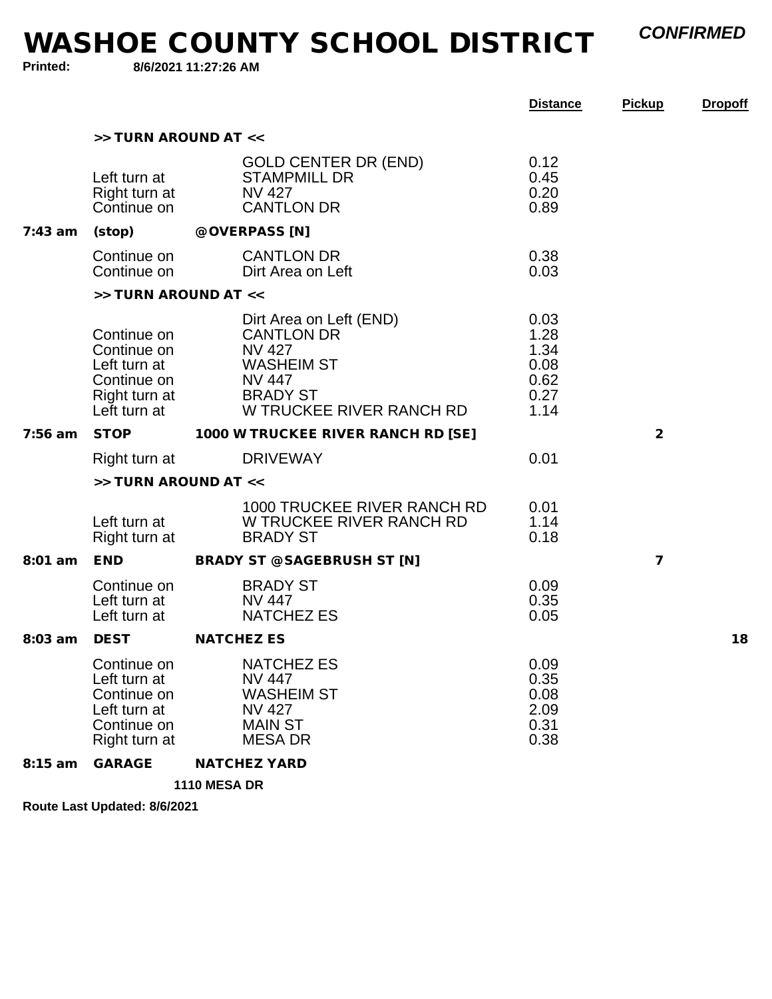*CONFIRMED*

**WASHOE COUNTY SCHOOL DISTRICT**

**Printed:**

**8/6/2021 11:27:26 AM**

|           |                                                                                            |                                                                                                                                                    | <b>Distance</b>                                      | <b>Pickup</b>  | <b>Dropoff</b> |
|-----------|--------------------------------------------------------------------------------------------|----------------------------------------------------------------------------------------------------------------------------------------------------|------------------------------------------------------|----------------|----------------|
|           | >> TURN AROUND AT <<                                                                       |                                                                                                                                                    |                                                      |                |                |
|           | Left turn at<br>Right turn at<br>Continue on                                               | <b>GOLD CENTER DR (END)</b><br><b>STAMPMILL DR</b><br><b>NV 427</b><br><b>CANTLON DR</b>                                                           | 0.12<br>0.45<br>0.20<br>0.89                         |                |                |
| $7:43$ am | (stop)                                                                                     | @ OVERPASS [N]                                                                                                                                     |                                                      |                |                |
|           | Continue on<br>Continue on                                                                 | <b>CANTLON DR</b><br>Dirt Area on Left                                                                                                             | 0.38<br>0.03                                         |                |                |
|           | >> TURN AROUND AT <<                                                                       |                                                                                                                                                    |                                                      |                |                |
|           | Continue on<br>Continue on<br>Left turn at<br>Continue on<br>Right turn at<br>Left turn at | Dirt Area on Left (END)<br><b>CANTLON DR</b><br><b>NV 427</b><br><b>WASHEIM ST</b><br><b>NV 447</b><br><b>BRADY ST</b><br>W TRUCKEE RIVER RANCH RD | 0.03<br>1.28<br>1.34<br>0.08<br>0.62<br>0.27<br>1.14 |                |                |
| 7:56 am   | <b>STOP</b>                                                                                | 1000 W TRUCKEE RIVER RANCH RD [SE]                                                                                                                 |                                                      | $\overline{2}$ |                |
|           | Right turn at                                                                              | <b>DRIVEWAY</b>                                                                                                                                    | 0.01                                                 |                |                |
|           | >> TURN AROUND AT <<                                                                       |                                                                                                                                                    |                                                      |                |                |
|           | Left turn at<br>Right turn at                                                              | 1000 TRUCKEE RIVER RANCH RD<br>W TRUCKEE RIVER RANCH RD<br><b>BRADY ST</b>                                                                         | 0.01<br>1.14<br>0.18                                 |                |                |
| 8:01 am   | END                                                                                        | BRADY ST @ SAGEBRUSH ST [N]                                                                                                                        |                                                      | 7              |                |
|           | Continue on<br>Left turn at<br>Left turn at                                                | <b>BRADY ST</b><br><b>NV 447</b><br><b>NATCHEZ ES</b>                                                                                              | 0.09<br>0.35<br>0.05                                 |                |                |
| 8:03 am   | <b>DEST</b>                                                                                | <b>NATCHEZ ES</b>                                                                                                                                  |                                                      |                | 18             |
|           | Continue on<br>Left turn at<br>Continue on<br>Left turn at<br>Continue on<br>Right turn at | <b>NATCHEZ ES</b><br><b>NV 447</b><br><b>WASHEIM ST</b><br><b>NV 427</b><br><b>MAIN ST</b><br><b>MESA DR</b>                                       | 0.09<br>0.35<br>0.08<br>2.09<br>0.31<br>0.38         |                |                |
| 8:15 am   | GARAGE                                                                                     | <b>NATCHEZ YARD</b>                                                                                                                                |                                                      |                |                |
|           |                                                                                            |                                                                                                                                                    |                                                      |                |                |

**1110 MESA DR**

**Route Last Updated: 8/6/2021**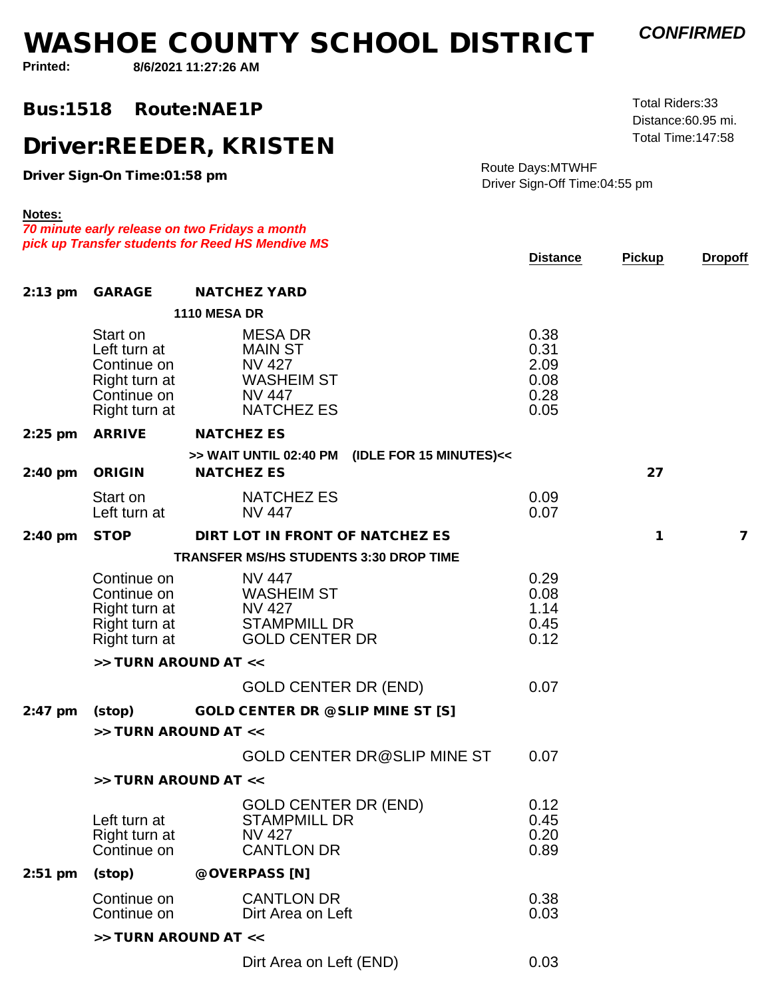*CONFIRMED*

Distance:60.95 mi.Total Riders:33

**Printed:**

**Notes:**

**8/6/2021 11:27:26 AM**

**Bus:1518Route:NAE1P** 

**Driver:REEDER, KRISTEN**

**Driver Sign-On Time:01:58 pm**

Route Days:MTWHFDriver Sign-Off Time:04:55 pm

Total Time:147:58

0.03

*70 minute early release on two Fridays a monthpick up Transfer students for Reed HS Mendive MS***Distance Pickup Dropoff 1110 MESA DR**Start onMESA DR 0.38 Left turn atMAIN ST 0.31 Continue onNATH ST<br>NV 427 2.09 Right turn atNV 427 2.09<br>WASHEIM ST 0.08 Continue on $NV$  447 0.28 Right turn atNV 447 0.28<br>NATCHEZ ES 0.05 **2:13 pm GARAGE NATCHEZ YARD >> WAIT UNTIL 02:40 PM (IDLE FOR 15 MINUTES)<<2:25 pm ARRIVE NATCHEZ ES** Start onNATCHEZ ES 0.09 Left turn atNATURE ES<br>NV 447 0.07 **2:40 pm ORIGIN NATCHEZ ES 27 TRANSFER MS/HS STUDENTS 3:30 DROP TIME**Continue onNV 447 0.29 Continue onNV 447 0.29<br>WASHEIM ST 0.08 Right turn atWASHERM ST 6.00<br>NV 427 1.14 Right turn at STAMPMILL DR 0.45 Right turn atGOLD CENTER DR 0.12 **2:40 pm STOP DIRT LOT IN FRONT OF NATCHEZ ES 1 7** GOLD CENTER DR (END) 0.07 **>> TURN AROUND AT <<2:47 pm (stop) GOLD CENTER DR @ SLIP MINE ST [S]** GOLD CENTER DR@SLIP MINE ST 0.07 **>> TURN AROUND AT <<**GOLD CENTER DR (END) 0.12 Left turn atSTAMPMILL DR 0.45 Right turn at3 TAMP MILL DR<br>NV 427 0.20 Continue onNV 427 0.20<br>CANTLON DR 0.89 **>> TURN AROUND AT <<**Continue onCANTLON DR 0.38 Continue onDirt Area on Left 0.03 **2:51 pm (stop) @ OVERPASS [N] >> TURN AROUND AT <<**

Dirt Area on Left (END)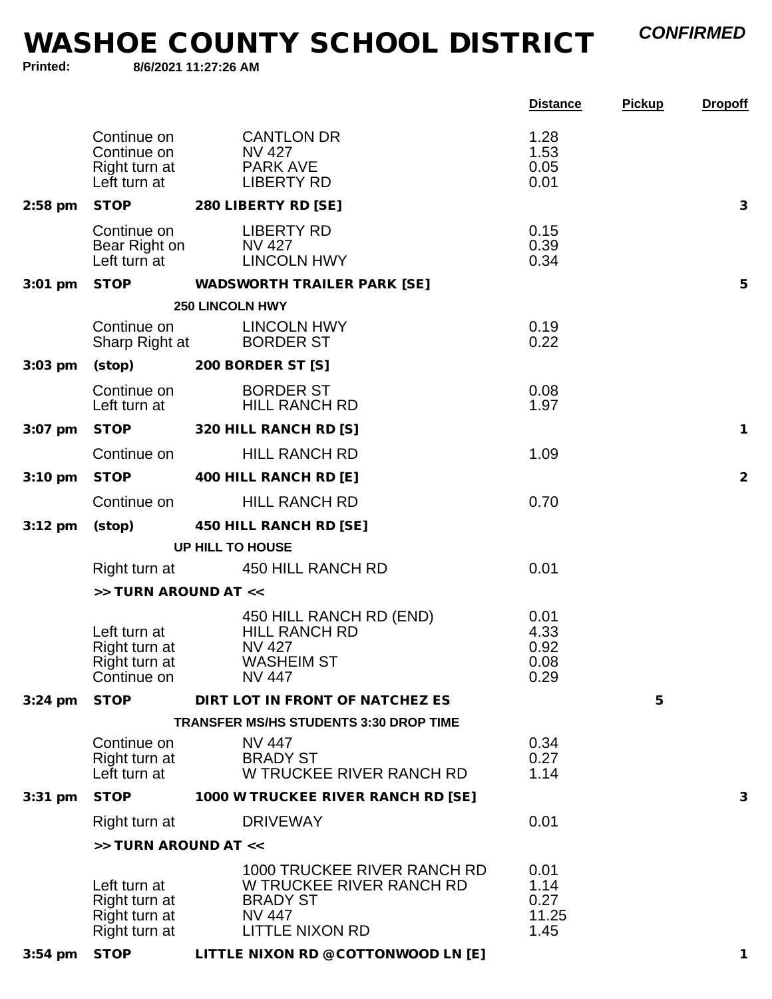*CONFIRMED*

|  | Printed: |  |
|--|----------|--|
|  |          |  |

**8/6/2021 11:27:26 AM**

|                   |                                                                                                                                |                                                                                                                              | <b>Distance</b>                       | <b>Pickup</b> | <b>Dropoff</b> |
|-------------------|--------------------------------------------------------------------------------------------------------------------------------|------------------------------------------------------------------------------------------------------------------------------|---------------------------------------|---------------|----------------|
|                   | Continue on<br>Continue on<br>Right turn at<br>Left turn at                                                                    | <b>CANTLON DR</b><br><b>NV 427</b><br><b>PARK AVE</b><br><b>LIBERTY RD</b>                                                   | 1.28<br>1.53<br>0.05<br>0.01          |               |                |
| $2:58$ pm         |                                                                                                                                | STOP 280 LIBERTY RD [SE]                                                                                                     |                                       |               | 3              |
|                   | Continue on<br>Left turn at                                                                                                    | <b>LIBERTY RD</b><br>Bear Right on NV 427<br><b>LINCOLN HWY</b>                                                              | 0.15<br>0.39<br>0.34                  |               |                |
| $3:01$ pm         |                                                                                                                                | STOP WADSWORTH TRAILER PARK [SE]                                                                                             |                                       |               | 5              |
|                   |                                                                                                                                | <b>250 LINCOLN HWY</b>                                                                                                       |                                       |               |                |
|                   |                                                                                                                                | Continue on LINCOLN HWY<br>Sharp Right at BORDER ST                                                                          | 0.19<br>0.22                          |               |                |
| $3:03$ pm         |                                                                                                                                | (stop) 200 BORDER ST [S]                                                                                                     |                                       |               |                |
|                   | Continue on<br>Left turn at the state of the state of the state of the state of the state of the state of the state of the sta | <b>BORDER ST</b><br><b>HILL RANCH RD</b>                                                                                     | 0.08<br>1.97                          |               |                |
| $3:07$ pm         |                                                                                                                                | STOP 320 HILL RANCH RD [S]                                                                                                   |                                       |               | $\mathbf{1}$   |
|                   | Continue on                                                                                                                    | <b>HILL RANCH RD</b>                                                                                                         | 1.09                                  |               |                |
| $3:10 \text{ pm}$ |                                                                                                                                | STOP 400 HILL RANCH RD [E]                                                                                                   |                                       |               | 2              |
|                   | Continue on                                                                                                                    | <b>HILL RANCH RD</b>                                                                                                         | 0.70                                  |               |                |
| $3:12 \text{ pm}$ | (stop)                                                                                                                         | 450 HILL RANCH RD [SE]                                                                                                       |                                       |               |                |
|                   |                                                                                                                                | UP HILL TO HOUSE                                                                                                             |                                       |               |                |
|                   |                                                                                                                                | Right turn at 450 HILL RANCH RD                                                                                              | 0.01                                  |               |                |
|                   | >> TURN AROUND AT <<                                                                                                           |                                                                                                                              |                                       |               |                |
|                   | Left turn at<br>Right turn at<br>Right turn at<br>Continue on                                                                  | 450 HILL RANCH RD (END)<br><b>HILL RANCH RD</b><br>NV 427<br><b>WASHEIM ST</b><br><b>NV 447</b>                              | 0.01<br>4.33<br>0.92<br>0.08<br>0.29  |               |                |
| $3:24$ pm         | <b>STOP</b>                                                                                                                    | DIRT LOT IN FRONT OF NATCHEZ ES                                                                                              |                                       | 5             |                |
|                   |                                                                                                                                | <b>TRANSFER MS/HS STUDENTS 3:30 DROP TIME</b>                                                                                |                                       |               |                |
|                   | Continue on<br>Right turn at<br>Left turn at                                                                                   | NV 447<br><b>BRADY ST</b><br>W TRUCKEE RIVER RANCH RD                                                                        | 0.34<br>0.27<br>1.14                  |               |                |
| $3:31$ pm         | <b>STOP</b>                                                                                                                    | 1000 W TRUCKEE RIVER RANCH RD [SE]                                                                                           |                                       |               | 3              |
|                   | Right turn at                                                                                                                  | <b>DRIVEWAY</b>                                                                                                              | 0.01                                  |               |                |
|                   | >> TURN AROUND AT <<                                                                                                           |                                                                                                                              |                                       |               |                |
|                   | Left turn at<br>Right turn at<br>Right turn at<br>Right turn at                                                                | <b>1000 TRUCKEE RIVER RANCH RD</b><br>W TRUCKEE RIVER RANCH RD<br><b>BRADY ST</b><br><b>NV 447</b><br><b>LITTLE NIXON RD</b> | 0.01<br>1.14<br>0.27<br>11.25<br>1.45 |               |                |
| $3:54$ pm         | <b>STOP</b>                                                                                                                    | LITTLE NIXON RD @ COTTONWOOD LN [E]                                                                                          |                                       |               | 1              |